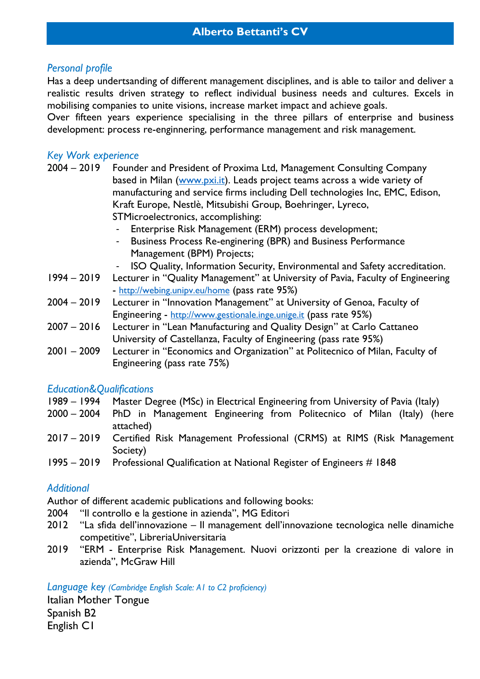# *Personal profile*

Has a deep undertsanding of different management disciplines, and is able to tailor and deliver a realistic results driven strategy to reflect individual business needs and cultures. Excels in mobilising companies to unite visions, increase market impact and achieve goals.

Over fifteen years experience specialising in the three pillars of enterprise and business development: process re-enginnering, performance management and risk management.

## *Key Work experience*

- 2004 2019 Founder and President of Proxima Ltd, Management Consulting Company based in Milan [\(www.pxi.it\)](http://www.pxi.it/). Leads project teams across a wide variety of manufacturing and service firms including Dell technologies Inc, EMC, Edison, Kraft Europe, Nestlè, Mitsubishi Group, Boehringer, Lyreco, STMicroelectronics, accomplishing:
	- Enterprise Risk Management (ERM) process development;
	- Business Process Re-enginering (BPR) and Business Performance Management (BPM) Projects;
		- ISO Quality, Information Security, Environmental and Safety accreditation.
- 1994 2019 Lecturer in "Quality Management" at University of Pavia, Faculty of Engineering - http://webing.unipv.eu/home (pass rate 95%)
- 2004 2019 Lecturer in "Innovation Management" at University of Genoa, Faculty of Engineering - [http://www.gestionale.inge.unige.it](http://www.gestionale.inge.unige.it/) (pass rate 95%)
- 2007 2016 Lecturer in "Lean Manufacturing and Quality Design" at Carlo Cattaneo University of Castellanza, Faculty of Engineering (pass rate 95%)
- 2001 2009 Lecturer in "Economics and Organization" at Politecnico of Milan, Faculty of Engineering (pass rate 75%)

### *Education&Qualifications*

- 1989 1994 Master Degree (MSc) in Electrical Engineering from University of Pavia (Italy)
- 2000 2004 PhD in Management Engineering from Politecnico of Milan (Italy) (here attached)
- 2017 2019 Certified Risk Management Professional (CRMS) at RIMS (Risk Management Society)
- 1995 2019 Professional Qualification at National Register of Engineers # 1848

### *Additional*

Author of different academic publications and following books:

- 2004 "Il controllo e la gestione in azienda", MG Editori
- 2012 "La sfida dell'innovazione Il management dell'innovazione tecnologica nelle dinamiche competitive", LibreriaUniversitaria
- 2019 "ERM Enterprise Risk Management. Nuovi orizzonti per la creazione di valore in azienda", McGraw Hill

*Language key (Cambridge English Scale: A1 to C2 proficiency)*

Italian Mother Tongue Spanish B2 English C1